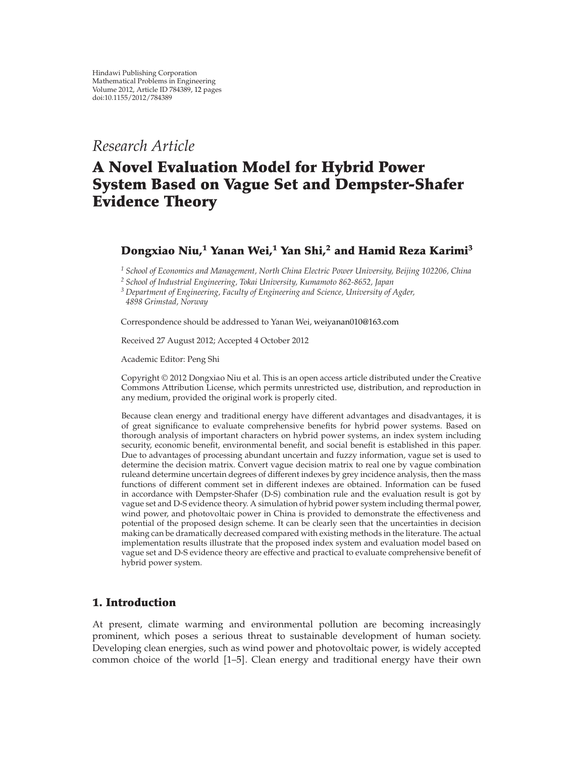## *Research Article*

# **A Novel Evaluation Model for Hybrid Power System Based on Vague Set and Dempster-Shafer Evidence Theory**

## **Dongxiao Niu,1 Yanan Wei,<sup>1</sup> Yan Shi,2 and Hamid Reza Karimi<sup>3</sup>**

*<sup>1</sup> School of Economics and Management, North China Electric Power University, Beijing 102206, China*

*<sup>2</sup> School of Industrial Engineering, Tokai University, Kumamoto 862-8652, Japan*

*<sup>3</sup> Department of Engineering, Faculty of Engineering and Science, University of Agder, 4898 Grimstad, Norway*

Correspondence should be addressed to Yanan Wei, weiyanan010@163.com

Received 27 August 2012; Accepted 4 October 2012

Academic Editor: Peng Shi

Copyright © 2012 Dongxiao Niu et al. This is an open access article distributed under the Creative Commons Attribution License, which permits unrestricted use, distribution, and reproduction in any medium, provided the original work is properly cited.

Because clean energy and traditional energy have different advantages and disadvantages, it is of great significance to evaluate comprehensive benefits for hybrid power systems. Based on thorough analysis of important characters on hybrid power systems, an index system including security, economic benefit, environmental benefit, and social benefit is established in this paper. Due to advantages of processing abundant uncertain and fuzzy information, vague set is used to determine the decision matrix. Convert vague decision matrix to real one by vague combination ruleand determine uncertain degrees of different indexes by grey incidence analysis, then the mass functions of different comment set in different indexes are obtained. Information can be fused in accordance with Dempster-Shafer (D-S) combination rule and the evaluation result is got by vague set and D-S evidence theory. A simulation of hybrid power system including thermal power, wind power, and photovoltaic power in China is provided to demonstrate the effectiveness and potential of the proposed design scheme. It can be clearly seen that the uncertainties in decision making can be dramatically decreased compared with existing methods in the literature. The actual implementation results illustrate that the proposed index system and evaluation model based on vague set and D-S evidence theory are effective and practical to evaluate comprehensive benefit of hybrid power system.

## **1. Introduction**

At present, climate warming and environmental pollution are becoming increasingly prominent, which poses a serious threat to sustainable development of human society. Developing clean energies, such as wind power and photovoltaic power, is widely accepted common choice of the world 1–5. Clean energy and traditional energy have their own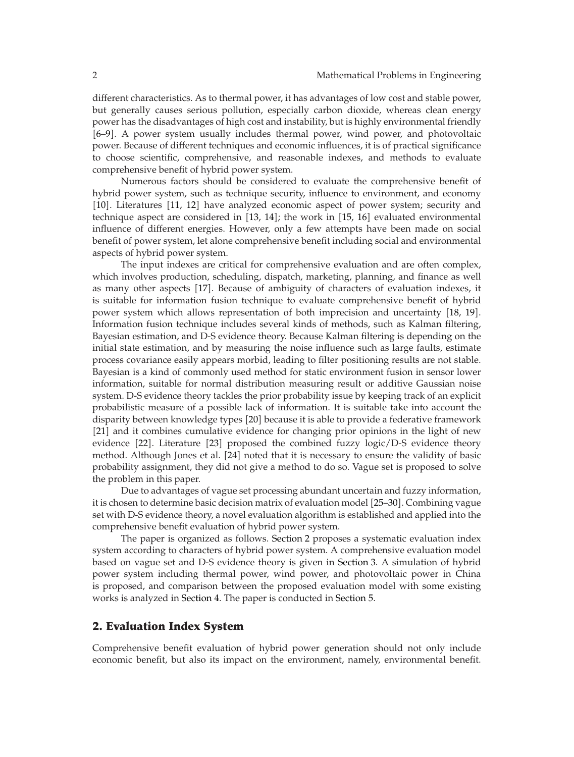different characteristics. As to thermal power, it has advantages of low cost and stable power, but generally causes serious pollution, especially carbon dioxide, whereas clean energy power has the disadvantages of high cost and instability, but is highly environmental friendly 6–9. A power system usually includes thermal power, wind power, and photovoltaic power. Because of different techniques and economic influences, it is of practical significance to choose scientific, comprehensive, and reasonable indexes, and methods to evaluate comprehensive benefit of hybrid power system.

Numerous factors should be considered to evaluate the comprehensive benefit of hybrid power system, such as technique security, influence to environment, and economy [10]. Literatures [11, 12] have analyzed economic aspect of power system; security and technique aspect are considered in  $[13, 14]$ ; the work in  $[15, 16]$  evaluated environmental influence of different energies. However, only a few attempts have been made on social benefit of power system, let alone comprehensive benefit including social and environmental aspects of hybrid power system.

The input indexes are critical for comprehensive evaluation and are often complex, which involves production, scheduling, dispatch, marketing, planning, and finance as well as many other aspects [17]. Because of ambiguity of characters of evaluation indexes, it is suitable for information fusion technique to evaluate comprehensive benefit of hybrid power system which allows representation of both imprecision and uncertainty 18, 19. Information fusion technique includes several kinds of methods, such as Kalman filtering, Bayesian estimation, and D-S evidence theory. Because Kalman filtering is depending on the initial state estimation, and by measuring the noise influence such as large faults, estimate process covariance easily appears morbid, leading to filter positioning results are not stable. Bayesian is a kind of commonly used method for static environment fusion in sensor lower information, suitable for normal distribution measuring result or additive Gaussian noise system. D-S evidence theory tackles the prior probability issue by keeping track of an explicit probabilistic measure of a possible lack of information. It is suitable take into account the disparity between knowledge types 20 because it is able to provide a federative framework [21] and it combines cumulative evidence for changing prior opinions in the light of new evidence [22]. Literature [23] proposed the combined fuzzy logic/D-S evidence theory method. Although Jones et al. [24] noted that it is necessary to ensure the validity of basic probability assignment, they did not give a method to do so. Vague set is proposed to solve the problem in this paper.

Due to advantages of vague set processing abundant uncertain and fuzzy information, it is chosen to determine basic decision matrix of evaluation model [25–30]. Combining vague set with D-S evidence theory, a novel evaluation algorithm is established and applied into the comprehensive benefit evaluation of hybrid power system.

The paper is organized as follows. Section 2 proposes a systematic evaluation index system according to characters of hybrid power system. A comprehensive evaluation model based on vague set and D-S evidence theory is given in Section 3. A simulation of hybrid power system including thermal power, wind power, and photovoltaic power in China is proposed, and comparison between the proposed evaluation model with some existing works is analyzed in Section 4. The paper is conducted in Section 5.

### **2. Evaluation Index System**

Comprehensive benefit evaluation of hybrid power generation should not only include economic benefit, but also its impact on the environment, namely, environmental benefit.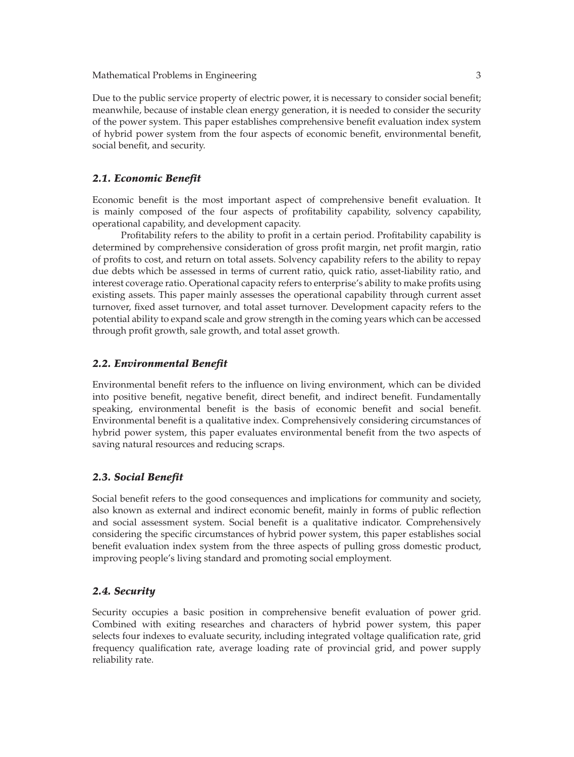Mathematical Problems in Engineering 3

Due to the public service property of electric power, it is necessary to consider social benefit; meanwhile, because of instable clean energy generation, it is needed to consider the security of the power system. This paper establishes comprehensive benefit evaluation index system of hybrid power system from the four aspects of economic benefit, environmental benefit, social benefit, and security.

#### *2.1. Economic Benefit*

Economic benefit is the most important aspect of comprehensive benefit evaluation. It is mainly composed of the four aspects of profitability capability, solvency capability, operational capability, and development capacity.

Profitability refers to the ability to profit in a certain period. Profitability capability is determined by comprehensive consideration of gross profit margin, net profit margin, ratio of profits to cost, and return on total assets. Solvency capability refers to the ability to repay due debts which be assessed in terms of current ratio, quick ratio, asset-liability ratio, and interest coverage ratio. Operational capacity refers to enterprise's ability to make profits using existing assets. This paper mainly assesses the operational capability through current asset turnover, fixed asset turnover, and total asset turnover. Development capacity refers to the potential ability to expand scale and grow strength in the coming years which can be accessed through profit growth, sale growth, and total asset growth.

#### *2.2. Environmental Benefit*

Environmental benefit refers to the influence on living environment, which can be divided into positive benefit, negative benefit, direct benefit, and indirect benefit. Fundamentally speaking, environmental benefit is the basis of economic benefit and social benefit. Environmental benefit is a qualitative index. Comprehensively considering circumstances of hybrid power system, this paper evaluates environmental benefit from the two aspects of saving natural resources and reducing scraps.

#### *2.3. Social Benefit*

Social benefit refers to the good consequences and implications for community and society, also known as external and indirect economic benefit, mainly in forms of public reflection and social assessment system. Social benefit is a qualitative indicator. Comprehensively considering the specific circumstances of hybrid power system, this paper establishes social benefit evaluation index system from the three aspects of pulling gross domestic product, improving people's living standard and promoting social employment.

#### *2.4. Security*

Security occupies a basic position in comprehensive benefit evaluation of power grid. Combined with exiting researches and characters of hybrid power system, this paper selects four indexes to evaluate security, including integrated voltage qualification rate, grid frequency qualification rate, average loading rate of provincial grid, and power supply reliability rate.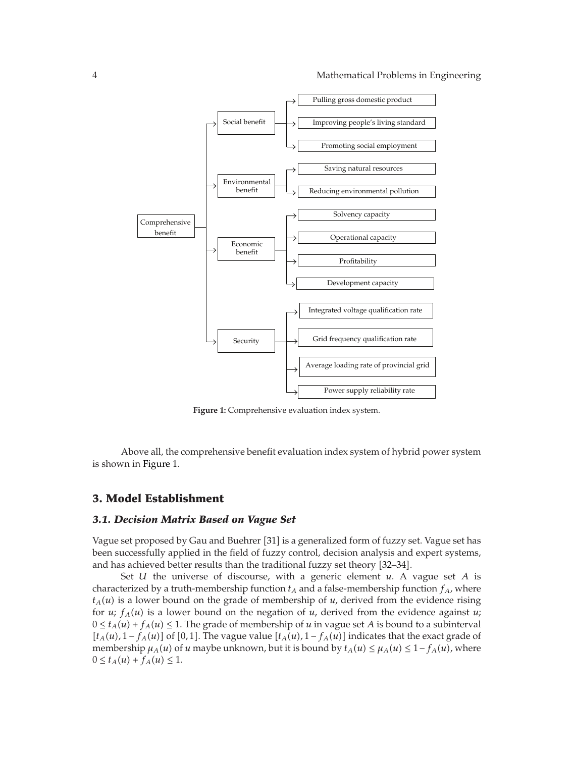

**Figure 1:** Comprehensive evaluation index system.

Above all, the comprehensive benefit evaluation index system of hybrid power system is shown in Figure 1.

### **3. Model Establishment**

#### *3.1. Decision Matrix Based on Vague Set*

Vague set proposed by Gau and Buehrer [31] is a generalized form of fuzzy set. Vague set has been successfully applied in the field of fuzzy control, decision analysis and expert systems, and has achieved better results than the traditional fuzzy set theory [32–34].

Set *U* the universe of discourse, with a generic element *u*. A vague set *A* is characterized by a truth-membership function  $t_A$  and a false-membership function  $f_A$ , where  $t_A(u)$  is a lower bound on the grade of membership of *u*, derived from the evidence rising for *u*;  $f_A(u)$  is a lower bound on the negation of *u*, derived from the evidence against *u*;  $0 \le t_A(u) + f_A(u) \le 1$ . The grade of membership of *u* in vague set *A* is bound to a subinterval  $[t_A(u), 1 - f_A(u)]$  of [0, 1]. The vague value  $[t_A(u), 1 - f_A(u)]$  indicates that the exact grade of membership  $\mu_A(u)$  of *u* maybe unknown, but it is bound by  $t_A(u) \leq \mu_A(u) \leq 1 - f_A(u)$ , where  $0 \le t_A(u) + f_A(u) \le 1.$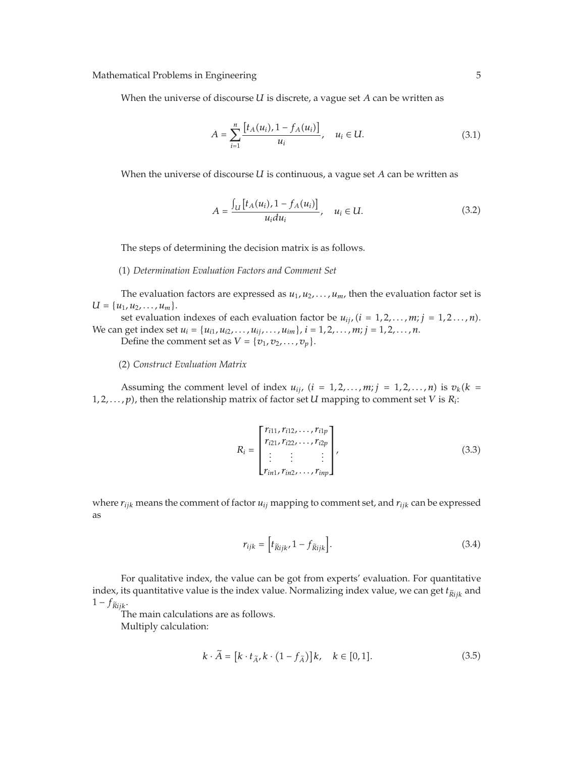Mathematical Problems in Engineering 5 5

When the universe of discourse *U* is discrete, a vague set *A* can be written as

$$
A = \sum_{i=1}^{n} \frac{\left[t_A(u_i), 1 - f_A(u_i)\right]}{u_i}, \quad u_i \in U.
$$
\n(3.1)

When the universe of discourse *U* is continuous, a vague set *A* can be written as

$$
A = \frac{\int_{U} [t_{A}(u_{i}), 1 - f_{A}(u_{i})]}{u_{i} du_{i}}, \quad u_{i} \in U.
$$
 (3.2)

The steps of determining the decision matrix is as follows.

1 *Determination Evaluation Factors and Comment Set*

The evaluation factors are expressed as  $u_1, u_2, \ldots, u_m$ , then the evaluation factor set is  $U = \{u_1, u_2, \ldots, u_m\}.$ 

set evaluation indexes of each evaluation factor be  $u_{ij}$ ,  $(i = 1, 2, \ldots, m; j = 1, 2, \ldots, n)$ . We can get index set  $u_i = \{u_{i1}, u_{i2}, \ldots, u_{ij}, \ldots, u_{im}\}, i = 1, 2, \ldots, m; j = 1, 2, \ldots, n$ . Define the comment set as  $V = \{v_1, v_2, \ldots, v_p\}.$ 

2 *Construct Evaluation Matrix*

Assuming the comment level of index  $u_{ij}$ ,  $(i = 1, 2, \ldots, m; j = 1, 2, \ldots, n)$  is  $v_k(k = 1, 2, \ldots, n)$  $1, 2, \ldots, p$ , then the relationship matrix of factor set *U* mapping to comment set *V* is  $R_i$ :

$$
R_{i} = \begin{bmatrix} r_{i11}, r_{i12}, \dots, r_{i1p} \\ r_{i21}, r_{i22}, \dots, r_{i2p} \\ \vdots & \vdots \\ r_{in1}, r_{in2}, \dots, r_{inp} \end{bmatrix},
$$
(3.3)

where *rijk* means the comment of factor *uij* mapping to comment set, and *rijk* can be expressed as

$$
r_{ijk} = \left[ t_{\tilde{R}ijk} \cdot 1 - f_{\tilde{R}ijk} \right]. \tag{3.4}
$$

For qualitative index, the value can be got from experts' evaluation. For quantitative index, its quantitative value is the index value. Normalizing index value, we can get  $t_{\overline{R}ijk}$  and  $1 - f_{\widetilde{R}ijk}$ .

The main calculations are as follows. Multiply calculation:

$$
k \cdot \widetilde{A} = [k \cdot t_{\widetilde{A}}, k \cdot (1 - f_{\widetilde{A}})]k, \quad k \in [0, 1].
$$
 (3.5)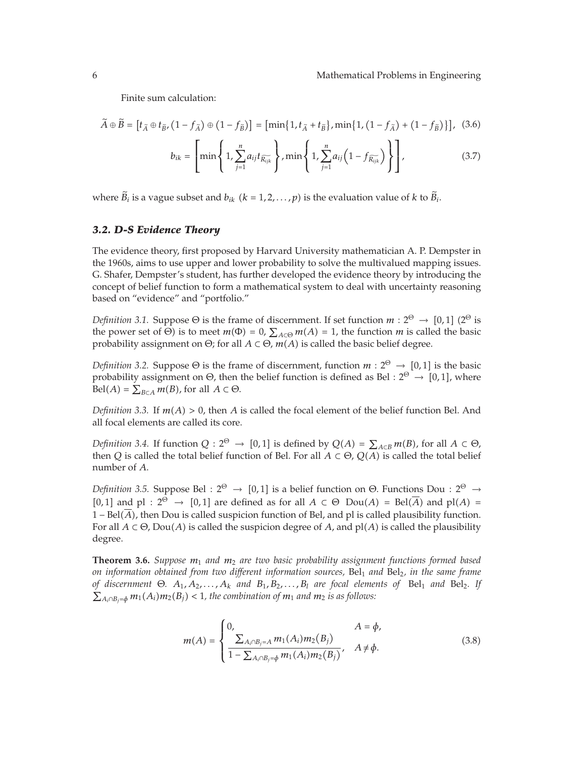Finite sum calculation:

$$
\widetilde{A} \oplus \widetilde{B} = \left[ t_{\widetilde{A}} \oplus t_{\widetilde{B}}, \left( 1 - f_{\widetilde{A}} \right) \oplus \left( 1 - f_{\widetilde{B}} \right) \right] = \left[ \min \{ 1, t_{\widetilde{A}} + t_{\widetilde{B}} \}, \min \{ 1, \left( 1 - f_{\widetilde{A}} \right) + \left( 1 - f_{\widetilde{B}} \right) \} \right], \tag{3.6}
$$

$$
b_{ik} = \left[\min\left\{1, \sum_{j=1}^{n} a_{ij} t_{\widetilde{R_{ijk}}}\right\}, \min\left\{1, \sum_{j=1}^{n} a_{ij} \left(1 - f_{\widetilde{R_{ijk}}}\right)\right\}\right],
$$
(3.7)

where  $\widetilde{B}_i$  is a vague subset and  $b_{ik}$  ( $k = 1, 2, ..., p$ ) is the evaluation value of  $k$  to  $\widetilde{B}_i$ .

#### *3.2. D-S Evidence Theory*

The evidence theory, first proposed by Harvard University mathematician A. P. Dempster in the 1960s, aims to use upper and lower probability to solve the multivalued mapping issues. G. Shafer, Dempster's student, has further developed the evidence theory by introducing the concept of belief function to form a mathematical system to deal with uncertainty reasoning based on "evidence" and "portfolio."

*Definition 3.1.* Suppose  $\Theta$  is the frame of discernment. If set function  $m: 2^{\Theta} \to [0,1]$  ( $2^{\Theta}$  is the power set of  $\Theta$ ) is to meet  $m(\Phi) = 0$ ,  $\sum_{A \subset \Theta} m(A) = 1$ , the function *m* is called the basic probability assignment on  $\Theta$ ; for all  $A \subset \Theta$ ,  $m(A)$  is called the basic belief degree.

*Definition 3.2.* Suppose  $\Theta$  is the frame of discernment, function  $m: 2^{\Theta} \rightarrow [0,1]$  is the basic probability assignment on Θ, then the belief function is defined as Bel : 2<sup>Θ</sup> → [0,1], where  $Bel(A) = \sum_{B \subset A} m(B)$ , for all  $A \subset \Theta$ .

*Definition 3.3.* If  $m(A) > 0$ , then *A* is called the focal element of the belief function Bel. And all focal elements are called its core.

*Definition 3.4.* If function  $Q: 2^{\Theta} \to [0,1]$  is defined by  $Q(A) = \sum_{A \subset B} m(B)$ , for all  $A \subset \Theta$ , then *Q* is called the total belief function of Bel. For all  $A \subset \Theta$ ,  $Q(A)$  is called the total belief number of *A*.

*Definition 3.5.* Suppose Bel : 2<sup>Θ</sup> → [0,1] is a belief function on Θ. Functions Dou : 2<sup>Θ</sup> →  $[0,1]$  and pl :  $2^{\Theta} \rightarrow [0,1]$  are defined as for all  $A \subset \Theta$  Dou $(A) = \text{Bel}(\overline{A})$  and pl $(A) =$ 1 − Bel*A*, then Dou is called suspicion function of Bel, and pl is called plausibility function. For all  $A \subset \Theta$ , Dou $(A)$  is called the suspicion degree of A, and pl $(A)$  is called the plausibility degree.

**Theorem 3.6.** *Suppose <sup>m</sup>*<sup>1</sup> *and <sup>m</sup>*<sup>2</sup> *are two basic probability assignment functions formed based on information obtained from two different information sources,* Bel1 *and* Bel2*, in the same frame of discernment* Θ*. A*1*, A*2*,...,Ak and B*1*, B*2*,...,Bl are focal elements of* Bel1 *and* Bel2*. If*  $\sum_{A_i \cap B_j = \phi} m_1(A_i) m_2(B_j) < 1$ , the combination of  $m_1$  and  $m_2$  is as follows:

$$
m(A) = \begin{cases} 0, & A = \phi, \\ \frac{\sum_{A_i \cap B_j = A} m_1(A_i) m_2(B_j)}{1 - \sum_{A_i \cap B_j = \phi} m_1(A_i) m_2(B_j)}, & A \neq \phi. \end{cases}
$$
(3.8)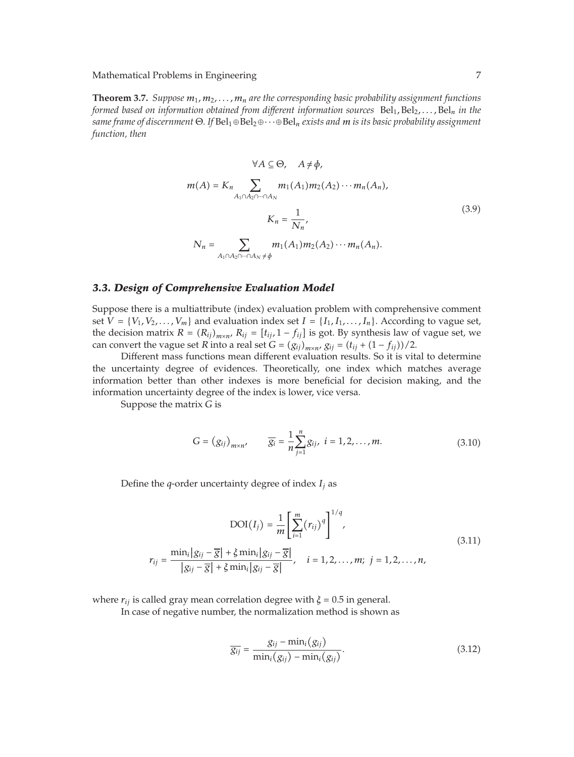Mathematical Problems in Engineering 7

**Theorem 3.7.** *Suppose <sup>m</sup>*1*, m*2*,...,mn are the corresponding basic probability assignment functions formed based on information obtained from different information sources* Bel<sub>1</sub>, Bel<sub>2</sub>,..., Bel<sub>n</sub> in the *same frame of discernment* Θ*. If* Bel1⊕Bel2⊕···⊕Bel*<sup>n</sup> exists and m is its basic probability assignment function, then*

$$
\forall A \subseteq \Theta, \quad A \neq \phi,
$$
  

$$
m(A) = K_n \sum_{A_1 \cap A_2 \cap \dots \cap A_N} m_1(A_1) m_2(A_2) \cdots m_n(A_n),
$$
  

$$
K_n = \frac{1}{N_n},
$$
  

$$
N_n = \sum_{A_1 \cap A_2 \cap \dots \cap A_N \neq \phi} m_1(A_1) m_2(A_2) \cdots m_n(A_n).
$$
 (3.9)

#### *3.3. Design of Comprehensive Evaluation Model*

Suppose there is a multiattribute (index) evaluation problem with comprehensive comment set  $V = \{V_1, V_2, \ldots, V_m\}$  and evaluation index set  $I = \{I_1, I_1, \ldots, I_n\}$ . According to vague set, the decision matrix  $R = (R_{ij})_{m \times n}$ ,  $R_{ij} = [t_{ij}, 1 - f_{ij}]$  is got. By synthesis law of vague set, we can convert the vague set *R* into a real set *G* =  $(g_{ij})_{m \times n}$ ,  $g_{ij} = (t_{ij} + (1 - f_{ij})) / 2$ .

Different mass functions mean different evaluation results. So it is vital to determine the uncertainty degree of evidences. Theoretically, one index which matches average information better than other indexes is more beneficial for decision making, and the information uncertainty degree of the index is lower, vice versa.

Suppose the matrix *G* is

$$
G = (g_{ij})_{m \times n'} \qquad \overline{g_i} = \frac{1}{n} \sum_{j=1}^{n} g_{ij}, \ i = 1, 2, ..., m.
$$
 (3.10)

Define the *q*-order uncertainty degree of index  $I_i$  as

$$
DOI(I_{j}) = \frac{1}{m} \left[ \sum_{i=1}^{m} (r_{ij})^{q} \right]^{1/q},
$$
  
\n
$$
r_{ij} = \frac{\min_{i} |g_{ij} - \overline{g}| + \xi \min_{i} |g_{ij} - \overline{g}|}{|g_{ij} - \overline{g}| + \xi \min_{i} |g_{ij} - \overline{g}|}, \quad i = 1, 2, ..., m; \quad j = 1, 2, ..., n,
$$
\n(3.11)

where  $r_{ij}$  is called gray mean correlation degree with  $\xi = 0.5$  in general.

In case of negative number, the normalization method is shown as

$$
\overline{g_{ij}} = \frac{g_{ij} - \min_i(g_{ij})}{\min_i(g_{ij}) - \min_i(g_{ij})}.
$$
\n(3.12)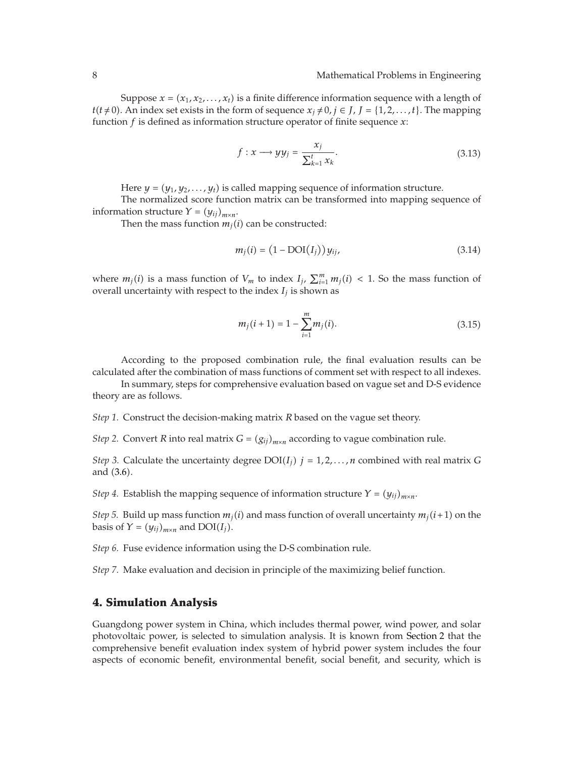Suppose  $x = (x_1, x_2, \ldots, x_t)$  is a finite difference information sequence with a length of *t*(*t* ≠ 0). An index set exists in the form of sequence  $x_j$  ≠ 0*, j* ∈ *J*, *J* = {1,2*,...,t*}. The mapping function *f* is defined as information structure operator of finite sequence *x*:

$$
f: x \longrightarrow yy_j = \frac{x_j}{\sum_{k=1}^t x_k}.
$$
\n(3.13)

Here  $y = (y_1, y_2, \ldots, y_t)$  is called mapping sequence of information structure.

The normalized score function matrix can be transformed into mapping sequence of information structure  $Y = (y_{ij})_{m \times n}$ .

Then the mass function  $m_j(i)$  can be constructed:

$$
m_j(i) = (1 - \text{DOI}(I_j))y_{ij},
$$
\n(3.14)

where  $m_j(i)$  is a mass function of  $V_m$  to index  $I_j$ ,  $\sum_{i=1}^m m_j(i) < 1$ . So the mass function of overall uncertainty with respect to the index  $I_i$  is shown as

$$
m_j(i+1) = 1 - \sum_{i=1}^{m} m_j(i).
$$
 (3.15)

According to the proposed combination rule, the final evaluation results can be calculated after the combination of mass functions of comment set with respect to all indexes.

In summary, steps for comprehensive evaluation based on vague set and D-S evidence theory are as follows.

*Step 1.* Construct the decision-making matrix *R* based on the vague set theory.

*Step 2.* Convert *R* into real matrix  $G = (g_{ij})_{m \times n}$  according to vague combination rule.

*Step 3.* Calculate the uncertainty degree  $DOI(I_i)$   $j = 1, 2, ..., n$  combined with real matrix G and (3.6).

*Step 4.* Establish the mapping sequence of information structure  $Y = (y_{ij})_{m \times n}$ .

*Step 5.* Build up mass function  $m_i(i)$  and mass function of overall uncertainty  $m_i(i+1)$  on the basis of  $Y = (y_{ij})_{m \times n}$  and  $DOI(I_j)$ .

*Step 6.* Fuse evidence information using the D-S combination rule.

*Step 7.* Make evaluation and decision in principle of the maximizing belief function.

#### **4. Simulation Analysis**

Guangdong power system in China, which includes thermal power, wind power, and solar photovoltaic power, is selected to simulation analysis. It is known from Section 2 that the comprehensive benefit evaluation index system of hybrid power system includes the four aspects of economic benefit, environmental benefit, social benefit, and security, which is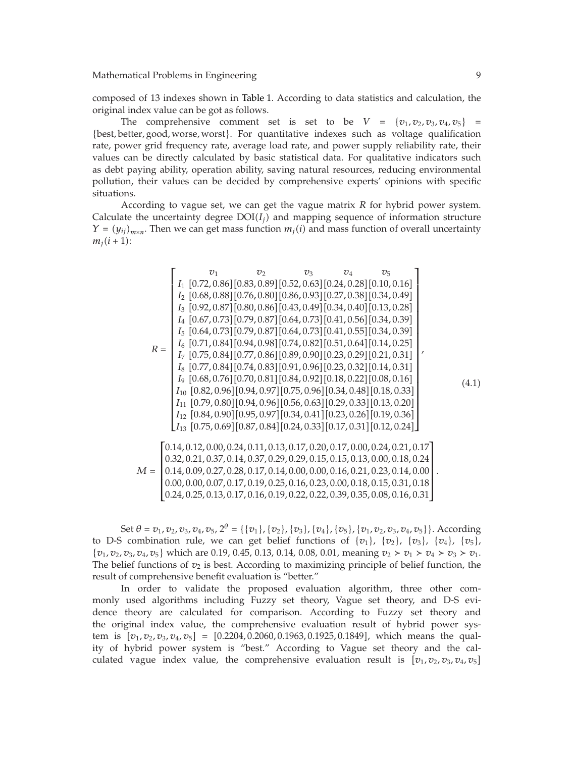composed of 13 indexes shown in Table 1. According to data statistics and calculation, the original index value can be got as follows.

The comprehensive comment set is set to be  $V = \{v_1, v_2, v_3, v_4, v_5\}$ {best*,* better*,* good*,* worse*,* worst}. For quantitative indexes such as voltage qualification rate, power grid frequency rate, average load rate, and power supply reliability rate, their values can be directly calculated by basic statistical data. For qualitative indicators such as debt paying ability, operation ability, saving natural resources, reducing environmental pollution, their values can be decided by comprehensive experts' opinions with specific situations.

According to vague set, we can get the vague matrix *R* for hybrid power system. Calculate the uncertainty degree  $DOI(I_i)$  and mapping sequence of information structure  $\gamma = (\gamma_{ii})_{m \times n}$ . Then we can get mass function  $m_i(i)$  and mass function of overall uncertainty  $m_i(i+1)$ :

$$
R = \begin{bmatrix} v_1 & v_2 & v_3 & v_4 & v_5 \ I_1 [0.72, 0.86][0.83, 0.89][0.52, 0.63][0.24, 0.28][0.10, 0.16] \ I_2 [0.68, 0.88][0.76, 0.80][0.86, 0.93][0.27, 0.38][0.34, 0.49] \ I_3 [0.92, 0.87][0.80, 0.86][0.43, 0.49][0.34, 0.40][0.13, 0.28] \ I_4 [0.67, 0.73][0.79, 0.87][0.64, 0.73][0.41, 0.56][0.34, 0.39] \ I_5 [0.64, 0.73][0.79, 0.87][0.64, 0.73][0.41, 0.55][0.34, 0.39] \ I_6 [0.71, 0.84][0.94, 0.98][0.74, 0.82][0.51, 0.64][0.14, 0.25] \ I_7 [0.75, 0.84][0.77, 0.86][0.89, 0.90][0.23, 0.29][0.21, 0.31] \ I_8 [0.77, 0.84][0.74, 0.83][0.91, 0.96][0.23, 0.32][0.14, 0.31] \ I_9 [0.68, 0.76][0.70, 0.81][0.84, 0.92][0.18, 0.22][0.08, 0.16] \ I_{10} [0.82, 0.96][0.94, 0.97][0.75, 0.96][0.34, 0.48][0.18, 0.33] \ I_{11} [0.79, 0.80][0.94, 0.96][0.56, 0.63][0.29, 0.33][0.13, 0.20] \ I_{12} [0.84, 0.90][0.95, 0.97][0.34, 0.41][0.23, 0.26][0.19, 0.36] \ I_{13}
$$

Set  $\theta = v_1, v_2, v_3, v_4, v_5, 2^{\theta} = {\{\{v_1\}, \{v_2\}, \{v_3\}, \{v_4\}, \{v_5\}, \{v_1, v_2, v_3, v_4, v_5\}\}.$  According to D-S combination rule, we can get belief functions of  $\{v_1\}$ ,  $\{v_2\}$ ,  $\{v_3\}$ ,  $\{v_4\}$ ,  $\{v_5\}$ ,  $\{v_1, v_2, v_3, v_4, v_5\}$  which are 0.19, 0.45, 0.13, 0.14, 0.08, 0.01, meaning  $v_2 \succ v_1 \succ v_4 \succ v_3 \succ v_1$ . The belief functions of  $v_2$  is best. According to maximizing principle of belief function, the result of comprehensive benefit evaluation is "better."

In order to validate the proposed evaluation algorithm, three other commonly used algorithms including Fuzzy set theory, Vague set theory, and D-S evidence theory are calculated for comparison. According to Fuzzy set theory and the original index value, the comprehensive evaluation result of hybrid power system is  $[v_1, v_2, v_3, v_4, v_5] = [0.2204, 0.2060, 0.1963, 0.1925, 0.1849]$ , which means the quality of hybrid power system is "best." According to Vague set theory and the calculated vague index value, the comprehensive evaluation result is  $[v_1, v_2, v_3, v_4, v_5]$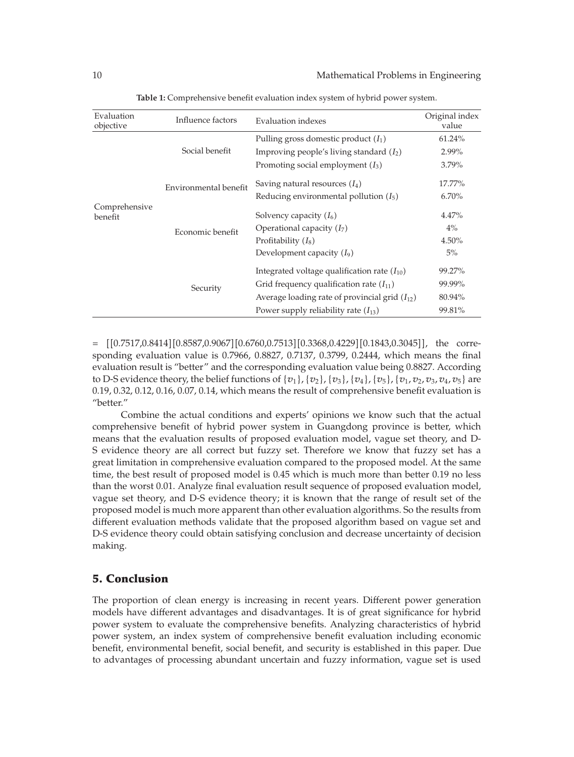| Evaluation<br>objective  | Influence factors     | Evaluation indexes                                 | Original index<br>value |
|--------------------------|-----------------------|----------------------------------------------------|-------------------------|
| Comprehensive<br>benefit | Social benefit        | Pulling gross domestic product $(I_1)$             | 61.24%                  |
|                          |                       | Improving people's living standard $(I_2)$         | 2.99%                   |
|                          |                       | Promoting social employment $(I_3)$                | 3.79%                   |
|                          | Environmental benefit | Saving natural resources $(I_4)$                   | 17.77%                  |
|                          |                       | Reducing environmental pollution $(I_5)$           | 6.70%                   |
|                          | Economic benefit      | Solvency capacity $(I_6)$                          | $4.47\%$                |
|                          |                       | Operational capacity $(I_7)$                       | $4\%$                   |
|                          |                       | Profitability $(I_8)$                              | $4.50\%$                |
|                          |                       | Development capacity $(I_9)$                       | $5\%$                   |
|                          | Security              | Integrated voltage qualification rate $(I_{10})$   | 99.27%                  |
|                          |                       | Grid frequency qualification rate $(I_{11})$       | 99.99%                  |
|                          |                       | Average loading rate of provincial grid $(I_{12})$ | 80.94%                  |
|                          |                       | Power supply reliability rate $(I_{13})$           | 99.81%                  |

**Table 1:** Comprehensive benefit evaluation index system of hybrid power system.

 $=$   $[0.7517, 0.8414] [0.8587, 0.9067] [0.6760, 0.7513] [0.3368, 0.4229] [0.1843, 0.3045]$ , the corresponding evaluation value is 0.7966, 0.8827, 0.7137, 0.3799, 0.2444, which means the final evaluation result is "better" and the corresponding evaluation value being 0.8827. According to D-S evidence theory, the belief functions of  $\{v_1\}$ ,  $\{v_2\}$ ,  $\{v_3\}$ ,  $\{v_4\}$ ,  $\{v_5\}$ ,  $\{v_1, v_2, v_3, v_4, v_5\}$  are 0.19, 0.32, 0.12, 0.16, 0.07, 0.14, which means the result of comprehensive benefit evaluation is "better."

Combine the actual conditions and experts' opinions we know such that the actual comprehensive benefit of hybrid power system in Guangdong province is better, which means that the evaluation results of proposed evaluation model, vague set theory, and D-S evidence theory are all correct but fuzzy set. Therefore we know that fuzzy set has a great limitation in comprehensive evaluation compared to the proposed model. At the same time, the best result of proposed model is 0.45 which is much more than better 0.19 no less than the worst 0.01. Analyze final evaluation result sequence of proposed evaluation model, vague set theory, and D-S evidence theory; it is known that the range of result set of the proposed model is much more apparent than other evaluation algorithms. So the results from different evaluation methods validate that the proposed algorithm based on vague set and D-S evidence theory could obtain satisfying conclusion and decrease uncertainty of decision making.

### **5. Conclusion**

The proportion of clean energy is increasing in recent years. Different power generation models have different advantages and disadvantages. It is of great significance for hybrid power system to evaluate the comprehensive benefits. Analyzing characteristics of hybrid power system, an index system of comprehensive benefit evaluation including economic benefit, environmental benefit, social benefit, and security is established in this paper. Due to advantages of processing abundant uncertain and fuzzy information, vague set is used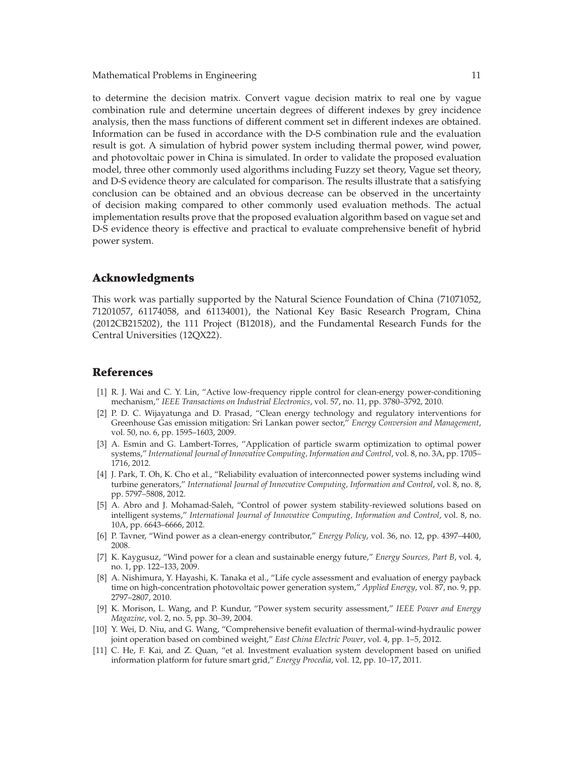Mathematical Problems in Engineering 11 and 12 and 12 and 12 and 12 and 12 and 12 and 12 and 12 and 12 and 12 and 12 and 12 and 12 and 12 and 12 and 12 and 12 and 12 and 12 and 12 and 12 and 12 and 12 and 12 and 12 and 12

to determine the decision matrix. Convert vague decision matrix to real one by vague combination rule and determine uncertain degrees of different indexes by grey incidence analysis, then the mass functions of different comment set in different indexes are obtained. Information can be fused in accordance with the D-S combination rule and the evaluation result is got. A simulation of hybrid power system including thermal power, wind power, and photovoltaic power in China is simulated. In order to validate the proposed evaluation model, three other commonly used algorithms including Fuzzy set theory, Vague set theory, and D-S evidence theory are calculated for comparison. The results illustrate that a satisfying conclusion can be obtained and an obvious decrease can be observed in the uncertainty of decision making compared to other commonly used evaluation methods. The actual implementation results prove that the proposed evaluation algorithm based on vague set and D-S evidence theory is effective and practical to evaluate comprehensive benefit of hybrid power system.

#### **Acknowledgments**

This work was partially supported by the Natural Science Foundation of China (71071052, 71201057, 61174058, and 61134001, the National Key Basic Research Program, China 2012CB215202, the 111 Project B12018, and the Fundamental Research Funds for the Central Universities (12QX22).

## **References**

- [1] R. J. Wai and C. Y. Lin, "Active low-frequency ripple control for clean-energy power-conditioning mechanism," *IEEE Transactions on Industrial Electronics*, vol. 57, no. 11, pp. 3780–3792, 2010.
- [2] P. D. C. Wijayatunga and D. Prasad, "Clean energy technology and regulatory interventions for Greenhouse Gas emission mitigation: Sri Lankan power sector," *Energy Conversion and Management*, vol. 50, no. 6, pp. 1595–1603, 2009.
- 3 A. Esmin and G. Lambert-Torres, "Application of particle swarm optimization to optimal power systems," *International Journal of Innovative Computing, Information and Control*, vol. 8, no. 3A, pp. 1705– 1716, 2012.
- 4 J. Park, T. Oh, K. Cho et al., "Reliability evaluation of interconnected power systems including wind turbine generators," *International Journal of Innovative Computing, Information and Control*, vol. 8, no. 8, pp. 5797–5808, 2012.
- 5 A. Abro and J. Mohamad-Saleh, "Control of power system stability-reviewed solutions based on intelligent systems," *International Journal of Innovative Computing, Information and Control*, vol. 8, no. 10A, pp. 6643–6666, 2012.
- 6 P. Tavner, "Wind power as a clean-energy contributor," *Energy Policy*, vol. 36, no. 12, pp. 4397–4400, 2008.
- 7 K. Kaygusuz, "Wind power for a clean and sustainable energy future," *Energy Sources, Part B*, vol. 4, no. 1, pp. 122–133, 2009.
- [8] A. Nishimura, Y. Hayashi, K. Tanaka et al., "Life cycle assessment and evaluation of energy payback time on high-concentration photovoltaic power generation system," *Applied Energy*, vol. 87, no. 9, pp. 2797–2807, 2010.
- 9 K. Morison, L. Wang, and P. Kundur, "Power system security assessment," *IEEE Power and Energy Magazine*, vol. 2, no. 5, pp. 30–39, 2004.
- 10 Y. Wei, D. Niu, and G. Wang, "Comprehensive benefit evaluation of thermal-wind-hydraulic power joint operation based on combined weight," *East China Electric Power*, vol. 4, pp. 1–5, 2012.
- [11] C. He, F. Kai, and Z. Quan, "et al. Investment evaluation system development based on unified information platform for future smart grid," *Energy Procedia*, vol. 12, pp. 10–17, 2011.